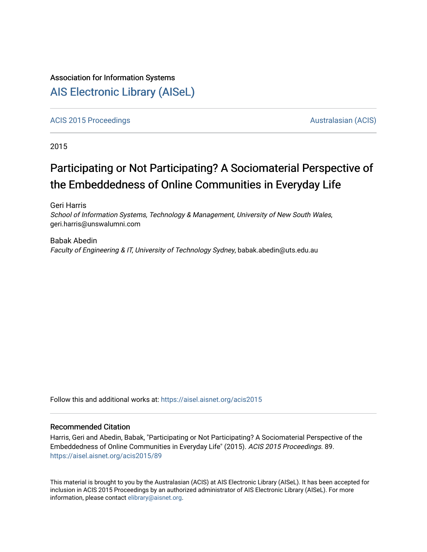# Association for Information Systems

# [AIS Electronic Library \(AISeL\)](https://aisel.aisnet.org/)

[ACIS 2015 Proceedings](https://aisel.aisnet.org/acis2015) **AUSTRALIA CIS** Australasian (ACIS)

2015

# Participating or Not Participating? A Sociomaterial Perspective of the Embeddedness of Online Communities in Everyday Life

Geri Harris School of Information Systems, Technology & Management, University of New South Wales, geri.harris@unswalumni.com

Babak Abedin Faculty of Engineering & IT, University of Technology Sydney, babak.abedin@uts.edu.au

Follow this and additional works at: [https://aisel.aisnet.org/acis2015](https://aisel.aisnet.org/acis2015?utm_source=aisel.aisnet.org%2Facis2015%2F89&utm_medium=PDF&utm_campaign=PDFCoverPages) 

# Recommended Citation

Harris, Geri and Abedin, Babak, "Participating or Not Participating? A Sociomaterial Perspective of the Embeddedness of Online Communities in Everyday Life" (2015). ACIS 2015 Proceedings. 89. [https://aisel.aisnet.org/acis2015/89](https://aisel.aisnet.org/acis2015/89?utm_source=aisel.aisnet.org%2Facis2015%2F89&utm_medium=PDF&utm_campaign=PDFCoverPages)

This material is brought to you by the Australasian (ACIS) at AIS Electronic Library (AISeL). It has been accepted for inclusion in ACIS 2015 Proceedings by an authorized administrator of AIS Electronic Library (AISeL). For more information, please contact [elibrary@aisnet.org.](mailto:elibrary@aisnet.org%3E)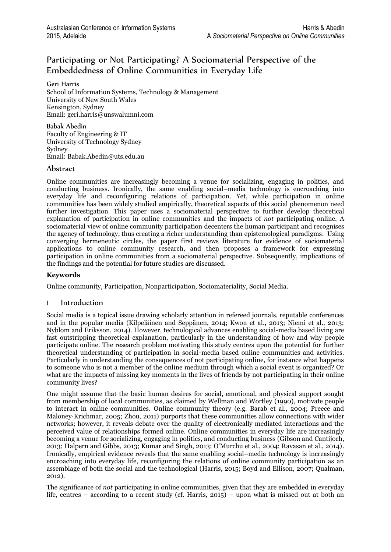# Participating or Not Participating? A Sociomaterial Perspective of the Embeddedness of Online Communities in Everyday Life

Geri Harris School of Information Systems, Technology & Management University of New South Wales Kensington, Sydney Email: geri.harris@unswalumni.com

Babak Abedin Faculty of Engineering & IT University of Technology Sydney Sydney Email: Babak.Abedin@uts.edu.au

### Abstract

Online communities are increasingly becoming a venue for socializing, engaging in politics, and conducting business. Ironically, the same enabling social–media technology is encroaching into everyday life and reconfiguring relations of participation. Yet, while participation in online communities has been widely studied empirically, theoretical aspects of this social phenomenon need further investigation. This paper uses a sociomaterial perspective to further develop theoretical explanation of participation in online communities and the impacts of *not* participating online. A sociomaterial view of online community participation decenters the human participant and recognises the agency of technology, thus creating a richer understanding than epistemological paradigms. Using converging hermeneutic circles, the paper first reviews literature for evidence of sociomaterial applications to online community research, and then proposes a framework for expressing participation in online communities from a sociomaterial perspective. Subsequently, implications of the findings and the potential for future studies are discussed.

### **Keywords**

Online community, Participation, Nonparticipation, Sociomateriality, Social Media.

# 1 Introduction

Social media is a topical issue drawing scholarly attention in refereed journals, reputable conferences and in the popular media (Kilpeläinen and Seppänen, 2014; Kwon et al., 2013; Niemi et al., 2013; Nyblom and Eriksson, 2014). However, technological advances enabling social-media based living are fast outstripping theoretical explanation, particularly in the understanding of how and why people participate online. The research problem motivating this study centres upon the potential for further theoretical understanding of participation in social-media based online communities and activities. Particularly in understanding the consequences of not participating online, for instance what happens to someone who is not a member of the online medium through which a social event is organized? Or what are the impacts of missing key moments in the lives of friends by not participating in their online community lives?

One might assume that the basic human desires for social, emotional, and physical support sought from membership of local communities, as claimed by Wellman and Wortley (1990), motivate people to interact in online communities. Online community theory (e.g. Barab et al., 2004; Preece and Maloney‐Krichmar, 2005; Zhou, 2011) purports that these communities allow connections with wider networks; however, it reveals debate over the quality of electronically mediated interactions and the perceived value of relationships formed online. Online communities in everyday life are increasingly becoming a venue for socializing, engaging in politics, and conducting business (Gibson and Cantijoch, 2013; Halpern and Gibbs, 2013; Kumar and Singh, 2013; O'Murchu et al., 2004; Ravasan et al., 2014). Ironically, empirical evidence reveals that the same enabling social–media technology is increasingly encroaching into everyday life, reconfiguring the relations of online community participation as an assemblage of both the social and the technological (Harris, 2015; Boyd and Ellison, 2007; Qualman, 2012).

The significance of *not* participating in online communities, given that they are embedded in everyday life, centres – according to a recent study (cf. Harris, 2015) – upon what is missed out at both an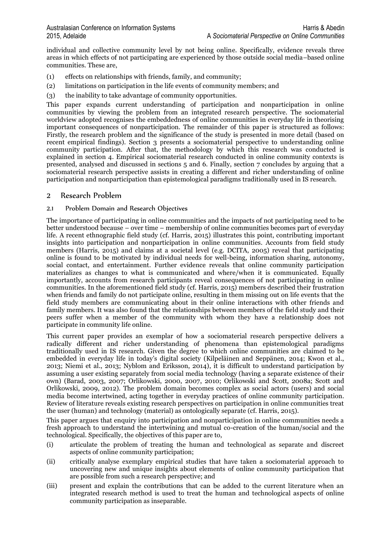individual and collective community level by not being online. Specifically, evidence reveals three areas in which effects of not participating are experienced by those outside social media–based online communities. These are,

- (1) effects on relationships with friends, family, and community;
- (2) limitations on participation in the life events of community members; and
- (3) the inability to take advantage of community opportunities.

This paper expands current understanding of participation and nonparticipation in online communities by viewing the problem from an integrated research perspective. The sociomaterial worldview adopted recognises the embeddedness of online communities in everyday life in theorising important consequences of nonparticipation. The remainder of this paper is structured as follows: Firstly, the research problem and the significance of the study is presented in more detail (based on recent empirical findings). Section 3 presents a sociomaterial perspective to understanding online community participation. After that, the methodology by which this research was conducted is explained in section 4. Empirical sociomaterial research conducted in online community contexts is presented, analysed and discussed in sections 5 and 6. Finally, section 7 concludes by arguing that a sociomaterial research perspective assists in creating a different and richer understanding of online participation and nonparticipation than epistemological paradigms traditionally used in IS research.

# 2 Research Problem

#### 2.1 Problem Domain and Research Objectives

The importance of participating in online communities and the impacts of not participating need to be better understood because – over time – membership of online communities becomes part of everyday life. A recent ethnographic field study (cf. Harris, 2015) illustrates this point, contributing important insights into participation and nonparticipation in online communities. Accounts from field study members (Harris, 2015) and claims at a societal level (e.g. DCITA, 2005) reveal that participating online is found to be motivated by individual needs for well-being, information sharing, autonomy, social contact, and entertainment. Further evidence reveals that online community participation materializes as changes to what is communicated and where/when it is communicated. Equally importantly, accounts from research participants reveal consequences of not participating in online communities. In the aforementioned field study (cf. Harris, 2015) members described their frustration when friends and family do not participate online, resulting in them missing out on life events that the field study members are communicating about in their online interactions with other friends and family members. It was also found that the relationships between members of the field study and their peers suffer when a member of the community with whom they have a relationship does not participate in community life online.

This current paper provides an exemplar of how a sociomaterial research perspective delivers a radically different and richer understanding of phenomena than epistemological paradigms traditionally used in IS research. Given the degree to which online communities are claimed to be embedded in everyday life in today's digital society (Kilpeläinen and Seppänen, 2014; Kwon et al., 2013; Niemi et al., 2013; Nyblom and Eriksson, 2014), it is difficult to understand participation by assuming a user existing separately from social media technology (having a separate existence of their own) (Barad, 2003, 2007; Orlikowski, 2000, 2007, 2010; Orlikowski and Scott, 2008a; Scott and Orlikowski, 2009, 2012). The problem domain becomes complex as social actors (users) and social media become intertwined, acting together in everyday practices of online community participation. Review of literature reveals existing research perspectives on participation in online communities treat the user (human) and technology (material) as ontologically separate (cf. Harris, 2015).

This paper argues that enquiry into participation and nonparticipation in online communities needs a fresh approach to understand the intertwining and mutual co-creation of the human/social and the technological. Specifically, the objectives of this paper are to,

- (i) articulate the problem of treating the human and technological as separate and discreet aspects of online community participation;
- (ii) critically analyse exemplary empirical studies that have taken a sociomaterial approach to uncovering new and unique insights about elements of online community participation that are possible from such a research perspective; and
- (iii) present and explain the contributions that can be added to the current literature when an integrated research method is used to treat the human and technological aspects of online community participation as inseparable.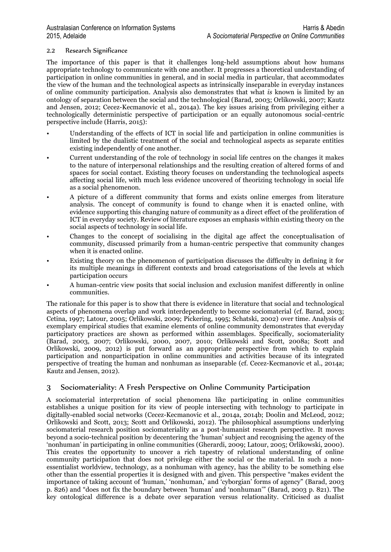#### 2.2 Research Significance

The importance of this paper is that it challenges long-held assumptions about how humans appropriate technology to communicate with one another. It progresses a theoretical understanding of participation in online communities in general, and in social media in particular, that accommodates the view of the human and the technological aspects as intrinsically inseparable in everyday instances of online community participation. Analysis also demonstrates that what *is* known is limited by an ontology of separation between the social and the technological (Barad, 2003; Orlikowski, 2007; Kautz and Jensen, 2012; Cecez-Kecmanovic et al., 2014a). The key issues arising from privileging either a technologically deterministic perspective of participation or an equally autonomous social-centric perspective include (Harris, 2015):

- Understanding of the effects of ICT in social life and participation in online communities is limited by the dualistic treatment of the social and technological aspects as separate entities existing independently of one another.
- Current understanding of the role of technology in social life centres on the changes it makes to the nature of interpersonal relationships and the resulting creation of altered forms of and spaces for social contact. Existing theory focuses on understanding the technological aspects affecting social life, with much less evidence uncovered of theorizing technology in social life as a social phenomenon.
- A picture of a different community that forms and exists online emerges from literature analysis. The concept of community is found to change when it is enacted online, with evidence supporting this changing nature of community as a direct effect of the proliferation of ICT in everyday society. Review of literature exposes an emphasis within existing theory on the social aspects of technology in social life.
- Changes to the concept of socialising in the digital age affect the conceptualisation of community, discussed primarily from a human-centric perspective that community changes when it is enacted online.
- Existing theory on the phenomenon of participation discusses the difficulty in defining it for its multiple meanings in different contexts and broad categorisations of the levels at which participation occurs
- A human-centric view posits that social inclusion and exclusion manifest differently in online communities.

The rationale for this paper is to show that there is evidence in literature that social and technological aspects of phenomena overlap and work interdependently to become sociomaterial (cf. Barad, 2003; Cetina, 1997; Latour, 2005; Orlikowski, 2009; Pickering, 1995; Schatski, 2002) over time. Analysis of exemplary empirical studies that examine elements of online community demonstrates that everyday participatory practices are shown as performed within assemblages. Specifically, sociomateriality (Barad, 2003, 2007; Orlikowski, 2000, 2007, 2010; Orlikowski and Scott, 2008a; Scott and Orlikowski, 2009, 2012) is put forward as an appropriate perspective from which to explain participation and nonparticipation in online communities and activities because of its integrated perspective of treating the human and nonhuman as inseparable (cf. Cecez-Kecmanovic et al., 2014a; Kautz and Jensen, 2012).

# 3 Sociomateriality: A Fresh Perspective on Online Community Participation

A sociomaterial interpretation of social phenomena like participating in online communities establishes a unique position for its view of people intersecting with technology to participate in digitally-enabled social networks (Cecez-Kecmanovic et al., 2014a, 2014b; Doolin and McLeod, 2012; Orlikowski and Scott, 2013; Scott and Orlikowski, 2012). The philosophical assumptions underlying sociomaterial research position sociomateriality as a post-humanist research perspective. It moves beyond a socio-technical position by decentering the 'human' subject and recognising the agency of the 'nonhuman' in participating in online communities (Gherardi, 2009; Latour, 2005; Orlikowski, 2000). This creates the opportunity to uncover a rich tapestry of relational understanding of online community participation that does not privilege either the social or the material. In such a nonessentialist worldview, technology, as a nonhuman with agency, has the ability to be something else other than the essential properties it is designed with and given. This perspective "makes evident the importance of taking account of 'human,' 'nonhuman,' and 'cyborgian' forms of agency" (Barad, 2003 p. 826) and "does not fix the boundary between 'human' and 'nonhuman'" (Barad, 2003 p. 821). The key ontological difference is a debate over separation versus relationality. Criticised as dualist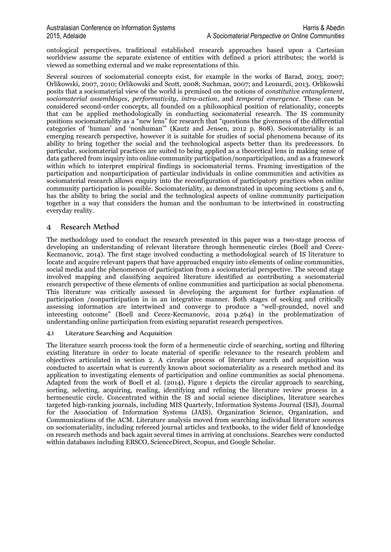ontological perspectives, traditional established research approaches based upon a Cartesian worldview assume the separate existence of entities with defined a priori attributes; the world is viewed as something external and we make representations of this.

Several sources of sociomaterial concepts exist, for example in the works of Barad, 2003, 2007; Orlikowski, 2007, 2010; Orlikowski and Scott, 2008; Suchman, 2007; and Leonardi, 2013. Orlikowski posits that a sociomaterial view of the world is premised on the notions of *constitutive entanglement*, *sociomaterial assemblages*, *performativity*, *intra-action*, and *temporal emergence.* These can be considered second-order concepts, all founded on a philosophical position of relationality, concepts that can be applied methodologically in conducting sociomaterial research. The IS community positions sociomateriality as a "new lens" for research that "questions the givenness of the differential categories of 'human' and 'nonhuman'" (Kautz and Jensen, 2012 p. 808). Sociomateriality is an emerging research perspective, however it is suitable for studies of social phenomena because of its ability to bring together the social and the technological aspects better than its predecessors. In particular, sociomaterial practices are suited to being applied as a theoretical lens in making sense of data gathered from inquiry into online community participation/nonparticipation, and as a framework within which to interpret empirical findings in sociomaterial terms. Framing investigation of the participation and nonparticipation of particular individuals in online communities and activities as sociomaterial research allows enquiry into the reconfiguration of participatory practices when online community participation is possible. Sociomateriality, as demonstrated in upcoming sections 5 and 6, has the ability to bring the social and the technological aspects of online community participation together in a way that considers the human and the nonhuman to be intertwined in constructing everyday reality.

# 4 Research Method

The methodology used to conduct the research presented in this paper was a two-stage process of developing an understanding of relevant literature through hermeneutic circles (Boell and Cecez-Kecmanovic, 2014). The first stage involved conducting a methodological search of IS literature to locate and acquire relevant papers that have approached enquiry into elements of online communities, social media and the phenomenon of participation from a sociomaterial perspective. The second stage involved mapping and classifying acquired literature identified as contributing a sociomaterial research perspective of these elements of online communities and participation as social phenomena. This literature was critically assessed in developing the argument for further explanation of participation /nonparticipation in in an integrative manner. Both stages of seeking and critically assessing information are intertwined and converge to produce a "well-grounded, novel and interesting outcome" (Boell and Cecez-Kecmanovic, 2014 p.264) in the problematization of understanding online participation from existing separatist research perspectives.

#### 4.1 Literature Searching and Acquisition

The literature search process took the form of a hermeneutic circle of searching, sorting and filtering existing literature in order to locate material of specific relevance to the research problem and objectives articulated in section 2. A circular process of literature search and acquisition was conducted to ascertain what is currently known about sociomateriality as a research method and its application to investigating elements of participation and online communities as social phenomena. Adapted from the work of Boell et al. (2014), Figure 1 depicts the circular approach to searching, sorting, selecting, acquiring, reading, identifying and refining the literature review process in a hermeneutic circle. Concentrated within the IS and social science disciplines, literature searches targeted high-ranking journals, including MIS Quarterly, Information Systems Journal (ISJ), Journal for the Association of Information Systems (JAIS), Organization Science, Organization, and Communications of the ACM. Literature analysis moved from searching individual literature sources on sociomateriality, including refereed journal articles and textbooks, to the wider field of knowledge on research methods and back again several times in arriving at conclusions. Searches were conducted within databases including EBSCO, ScienceDirect, Scopus, and Google Scholar.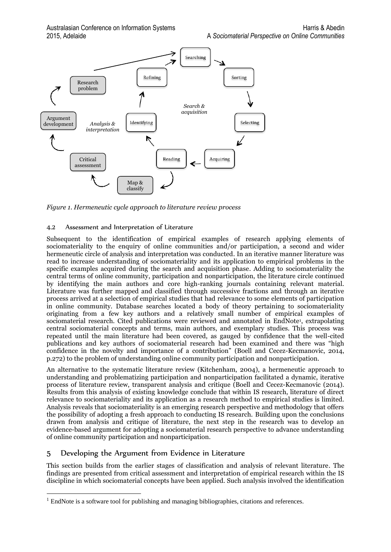

*Figure 1. Hermeneutic cycle approach to literature review process*

#### 4.2 Assessment and Interpretation of Literature

Subsequent to the identification of empirical examples of research applying elements of sociomateriality to the enquiry of online communities and/or participation, a second and wider hermeneutic circle of analysis and interpretation was conducted. In an iterative manner literature was read to increase understanding of sociomateriality and its application to empirical problems in the specific examples acquired during the search and acquisition phase. Adding to sociomateriality the central terms of online community, participation and nonparticipation, the literature circle continued by identifying the main authors and core high-ranking journals containing relevant material. Literature was further mapped and classified through successive fractions and through an iterative process arrived at a selection of empirical studies that had relevance to some elements of participation in online community. Database searches located a body of theory pertaining to sociomateriality originating from a few key authors and a relatively small number of empirical examples of sociomaterial research. Cited publications were reviewed and annotated in EndNote<sup>1</sup>, extrapolating central sociomaterial concepts and terms, main authors, and exemplary studies. This process was repeated until the main literature had been covered, as gauged by confidence that the well-cited publications and key authors of sociomaterial research had been examined and there was "high confidence in the novelty and importance of a contribution" (Boell and Cecez-Kecmanovic, 2014, p.272) to the problem of understanding online community participation and nonparticipation.

An alternative to the systematic literature review (Kitchenham, 2004), a hermeneutic approach to understanding and problematizing participation and nonparticipation facilitated a dynamic, iterative process of literature review, transparent analysis and critique (Boell and Cecez-Kecmanovic (2014). Results from this analysis of existing knowledge conclude that within IS research, literature of direct relevance to sociomateriality and its application as a research method to empirical studies is limited. Analysis reveals that sociomateriality is an emerging research perspective and methodology that offers the possibility of adopting a fresh approach to conducting IS research. Building upon the conclusions drawn from analysis and critique of literature, the next step in the research was to develop an evidence-based argument for adopting a sociomaterial research perspective to advance understanding of online community participation and nonparticipation.

# 5 Developing the Argument from Evidence in Literature

 $\overline{a}$ 

This section builds from the earlier stages of classification and analysis of relevant literature. The findings are presented from critical assessment and interpretation of empirical research within the IS discipline in which sociomaterial concepts have been applied. Such analysis involved the identification

<sup>&</sup>lt;sup>1</sup> EndNote is a software tool for publishing and managing bibliographies, citations and references.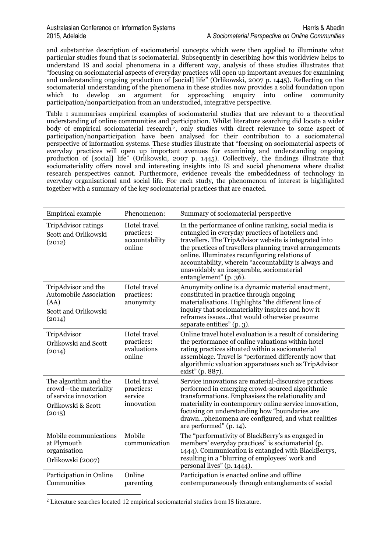and substantive description of sociomaterial concepts which were then applied to illuminate what particular studies found that is sociomaterial. Subsequently in describing how this worldview helps to understand IS and social phenomena in a different way, analysis of these studies illustrates that "focusing on sociomaterial aspects of everyday practices will open up important avenues for examining and understanding ongoing production of [social] life" (Orlikowski, 2007 p. 1445). Reflecting on the sociomaterial understanding of the phenomena in these studies now provides a solid foundation upon which to develop an argument for approaching enquiry into online community participation/nonparticipation from an understudied, integrative perspective.

Table 1 summarises empirical examples of sociomaterial studies that are relevant to a theoretical understanding of online communities and participation. Whilst literature searching did locate a wider body of empirical sociomaterial research<sup>2</sup>, only studies with direct relevance to some aspect of participation/nonparticipation have been analysed for their contribution to a sociomaterial perspective of information systems. These studies illustrate that "focusing on sociomaterial aspects of everyday practices will open up important avenues for examining and understanding ongoing production of [social] life" (Orlikowski, 2007 p. 1445). Collectively, the findings illustrate that sociomateriality offers novel and interesting insights into IS and social phenomena where dualist research perspectives cannot. Furthermore, evidence reveals the embeddedness of technology in everyday organisational and social life. For each study, the phenomenon of interest is highlighted together with a summary of the key sociomaterial practices that are enacted.

| <b>Empirical example</b>                                                                                | Phenomenon:                                            | Summary of sociomaterial perspective                                                                                                                                                                                                                                                                                                                                                                              |
|---------------------------------------------------------------------------------------------------------|--------------------------------------------------------|-------------------------------------------------------------------------------------------------------------------------------------------------------------------------------------------------------------------------------------------------------------------------------------------------------------------------------------------------------------------------------------------------------------------|
| TripAdvisor ratings<br>Scott and Orlikowski<br>(2012)                                                   | Hotel travel<br>practices:<br>accountability<br>online | In the performance of online ranking, social media is<br>entangled in everyday practices of hoteliers and<br>travellers. The TripAdvisor website is integrated into<br>the practices of travellers planning travel arrangements<br>online. Illuminates reconfiguring relations of<br>accountability, wherein "accountability is always and<br>unavoidably an inseparable, sociomaterial<br>entanglement" (p. 36). |
| TripAdvisor and the<br><b>Automobile Association</b><br>(AA)<br>Scott and Orlikowski<br>(2014)          | Hotel travel<br>practices:<br>anonymity                | Anonymity online is a dynamic material enactment,<br>constituted in practice through ongoing<br>materialisations. Highlights "the different line of<br>inquiry that sociomateriality inspires and how it<br>reframes issuesthat would otherwise presume<br>separate entities" (p. 3).                                                                                                                             |
| TripAdvisor<br>Orlikowski and Scott<br>(2014)                                                           | Hotel travel<br>practices:<br>evaluations<br>online    | Online travel hotel evaluation is a result of considering<br>the performance of online valuations within hotel<br>rating practices situated within a sociomaterial<br>assemblage. Travel is "performed differently now that<br>algorithmic valuation apparatuses such as TripAdvisor<br>exist" (p. 887).                                                                                                          |
| The algorithm and the<br>crowd-the materiality<br>of service innovation<br>Orlikowski & Scott<br>(2015) | Hotel travel<br>practices:<br>service<br>innovation    | Service innovations are material-discursive practices<br>performed in emerging crowd-sourced algorithmic<br>transformations. Emphasises the relationality and<br>materiality in contemporary online service innovation,<br>focusing on understanding how "boundaries are<br>drawnphenomena are configured, and what realities<br>are performed" (p. 14).                                                          |
| Mobile communications<br>at Plymouth<br>organisation<br>Orlikowski (2007)                               | Mobile<br>communication                                | The "performativity of BlackBerry's as engaged in<br>members' everyday practices" is sociomaterial (p.<br>1444). Communication is entangled with BlackBerrys,<br>resulting in a "blurring of employees' work and<br>personal lives" (p. 1444).                                                                                                                                                                    |
| Participation in Online<br>Communities                                                                  | Online<br>parenting                                    | Participation is enacted online and offline<br>contemporaneously through entanglements of social                                                                                                                                                                                                                                                                                                                  |

<sup>2</sup> Literature searches located 12 empirical sociomaterial studies from IS literature.

 $\overline{a}$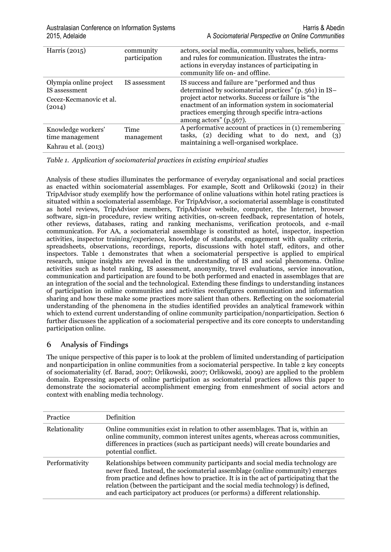| Harris (2015)                                                 | community<br>participation | actors, social media, community values, beliefs, norms<br>and rules for communication. Illustrates the intra-<br>actions in everyday instances of participating in<br>community life on- and offline. |
|---------------------------------------------------------------|----------------------------|-------------------------------------------------------------------------------------------------------------------------------------------------------------------------------------------------------|
| Olympia online project<br>IS assessment                       | IS assessment              | IS success and failure are "performed and thus<br>determined by sociomaterial practices" (p. 561) in IS-                                                                                              |
| Cecez-Kecmanovic et al.<br>(2014)                             |                            | project actor networks. Success or failure is "the<br>enactment of an information system in sociomaterial<br>practices emerging through specific intra-actions<br>among actors" $(p.567)$ .           |
| Knowledge workers'<br>time management<br>Kahrau et al. (2013) | Time<br>management         | A performative account of practices in (1) remembering<br>tasks, $(2)$ deciding what to do next, and $(3)$<br>maintaining a well-organised workplace.                                                 |

*Table 1. Application of sociomaterial practices in existing empirical studies*

Analysis of these studies illuminates the performance of everyday organisational and social practices as enacted within sociomaterial assemblages. For example, Scott and Orlikowski (2012) in their TripAdvisor study exemplify how the performance of online valuations within hotel rating practices is situated within a sociomaterial assemblage. For TripAdvisor, a sociomaterial assemblage is constituted as hotel reviews, TripAdvisor members, TripAdvisor website, computer, the Internet, browser software, sign-in procedure, review writing activities, on-screen feedback, representation of hotels, other reviews, databases, rating and ranking mechanisms, verification protocols, and e-mail communication. For AA, a sociomaterial assemblage is constituted as hotel, inspector, inspection activities, inspector training/experience, knowledge of standards, engagement with quality criteria, spreadsheets, observations, recordings, reports, discussions with hotel staff, editors, and other inspectors. Table 1 demonstrates that when a sociomaterial perspective is applied to empirical research, unique insights are revealed in the understanding of IS and social phenomena. Online activities such as hotel ranking, IS assessment, anonymity, travel evaluations, service innovation, communication and participation are found to be both performed and enacted in assemblages that are an integration of the social and the technological. Extending these findings to understanding instances of participation in online communities and activities reconfigures communication and information sharing and how these make some practices more salient than others. Reflecting on the sociomaterial understanding of the phenomena in the studies identified provides an analytical framework within which to extend current understanding of online community participation/nonparticipation. Section 6 further discusses the application of a sociomaterial perspective and its core concepts to understanding participation online.

# 6 Analysis of Findings

The unique perspective of this paper is to look at the problem of limited understanding of participation and nonparticipation in online communities from a sociomaterial perspective. In table 2 key concepts of sociomateriality (cf. Barad, 2007; Orlikowski, 2007; Orlikowski, 2009) are applied to the problem domain. Expressing aspects of online participation as sociomaterial practices allows this paper to demonstrate the sociomaterial accomplishment emerging from enmeshment of social actors and context with enabling media technology.

| <b>Practice</b> | Definition                                                                                                                                                                                                                                                                                                                                                                                                              |
|-----------------|-------------------------------------------------------------------------------------------------------------------------------------------------------------------------------------------------------------------------------------------------------------------------------------------------------------------------------------------------------------------------------------------------------------------------|
| Relationality   | Online communities exist in relation to other assemblages. That is, within an<br>online community, common interest unites agents, whereas across communities,<br>differences in practices (such as participant needs) will create boundaries and<br>potential conflict.                                                                                                                                                 |
| Performativity  | Relationships between community participants and social media technology are<br>never fixed. Instead, the sociomaterial assemblage (online community) emerges<br>from practice and defines how to practice. It is in the act of participating that the<br>relation (between the participant and the social media technology) is defined,<br>and each participatory act produces (or performs) a different relationship. |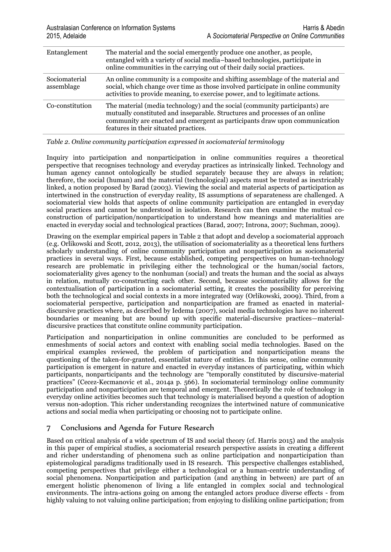| Entanglement                | The material and the social emergently produce one another, as people,<br>entangled with a variety of social media-based technologies, participate in<br>online communities in the carrying out of their daily social practices.                                                  |
|-----------------------------|-----------------------------------------------------------------------------------------------------------------------------------------------------------------------------------------------------------------------------------------------------------------------------------|
| Sociomaterial<br>assemblage | An online community is a composite and shifting assemblage of the material and<br>social, which change over time as those involved participate in online community<br>activities to provide meaning, to exercise power, and to legitimate actions.                                |
| Co-constitution             | The material (media technology) and the social (community participants) are<br>mutually constituted and inseparable. Structures and processes of an online<br>community are enacted and emergent as participants draw upon communication<br>features in their situated practices. |

*Table 2. Online community participation expressed in sociomaterial terminology*

Inquiry into participation and nonparticipation in online communities requires a theoretical perspective that recognises technology and everyday practices as intrinsically linked. Technology and human agency cannot ontologically be studied separately because they are always in relation; therefore, the social (human) and the material (technological) aspects must be treated as inextricably linked, a notion proposed by Barad (2003). Viewing the social and material aspects of participation as intertwined in the construction of everyday reality, IS assumptions of separateness are challenged. A sociomaterial view holds that aspects of online community participation are entangled in everyday social practices and cannot be understood in isolation. Research can then examine the mutual coconstruction of participation/nonparticipation to understand how meanings and materialities are enacted in everyday social and technological practices (Barad, 2007; Introna, 2007; Suchman, 2009).

Drawing on the exemplar empirical papers in Table 2 that adopt and develop a sociomaterial approach (e.g. Orlikowski and Scott, 2012, 2013), the utilisation of sociomateriality as a theoretical lens furthers scholarly understanding of online community participation and nonparticipation as sociomaterial practices in several ways. First, because established, competing perspectives on human-technology research are problematic in privileging either the technological or the human/social factors, sociomateriality gives agency to the nonhuman (social) and treats the human and the social as always in relation, mutually co-constructing each other. Second, because sociomateriality allows for the contextualisation of participation in a sociomaterial setting, it creates the possibility for perceiving both the technological and social contexts in a more integrated way (Orlikowski, 2009). Third, from a sociomaterial perspective, participation and nonparticipation are framed as enacted in materialdiscursive practices where, as described by Iedema (2007), social media technologies have no inherent boundaries or meaning but are bound up with specific material-discursive practices—materialdiscursive practices that constitute online community participation.

Participation and nonparticipation in online communities are concluded to be performed as enmeshments of social actors and context with enabling social media technologies. Based on the empirical examples reviewed, the problem of participation and nonparticipation means the questioning of the taken-for-granted, essentialist nature of entities. In this sense, online community participation is emergent in nature and enacted in everyday instances of participating, within which participants, nonparticipants and the technology are "temporally constituted by discursive-material practices" (Cecez-Kecmanovic et al., 2014a p. 566). In sociomaterial terminology online community participation and nonparticipation are temporal and emergent. Theoretically the role of technology in everyday online activities becomes such that technology is materialised beyond a question of adoption versus non-adoption. This richer understanding recognizes the intertwined nature of communicative actions and social media when participating or choosing not to participate online.

# 7 Conclusions and Agenda for Future Research

Based on critical analysis of a wide spectrum of IS and social theory (cf. Harris 2015) and the analysis in this paper of empirical studies, a sociomaterial research perspective assists in creating a different and richer understanding of phenomena such as online participation and nonparticipation than epistemological paradigms traditionally used in IS research. This perspective challenges established, competing perspectives that privilege either a technological or a human-centric understanding of social phenomena. Nonparticipation and participation (and anything in between) are part of an emergent holistic phenomenon of living a life entangled in complex social and technological environments. The intra-actions going on among the entangled actors produce diverse effects - from highly valuing to not valuing online participation; from enjoying to disliking online participation; from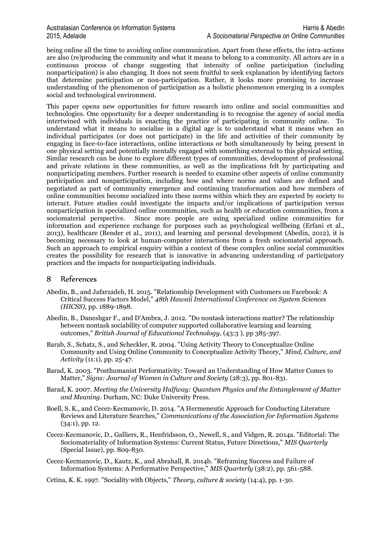being online all the time to avoiding online communication. Apart from these effects, the intra-actions are also (re)producing the community and what it means to belong to a community. All actors are in a continuous process of change suggesting that intensity of online participation (including nonparticipation) is also changing. It does not seem fruitful to seek explanation by identifying factors that determine participation or non-participation. Rather, it looks more promising to increase understanding of the phenomenon of participation as a holistic phenomenon emerging in a complex social and technological environment.

This paper opens new opportunities for future research into online and social communities and technologies. One opportunity for a deeper understanding is to recognise the agency of social media intertwined with individuals in enacting the practice of participating in community online. To understand what it means to socialise in a digital age is to understand what it means when an individual participates (or does not participate) in the life and activities of their community by engaging in face-to-face interactions, online interactions or both simultaneously by being present in one physical setting and potentially mentally engaged with something external to this physical setting. Similar research can be done to explore different types of communities, development of professional and private relations in these communities, as well as the implications felt by participating and nonparticipating members. Further research is needed to examine other aspects of online community participation and nonparticipation, including how and where norms and values are defined and negotiated as part of community emergence and continuing transformation and how members of online communities become socialized into these norms within which they are expected by society to interact. Future studies could investigate the impacts and/or implications of participation versus nonparticipation in specialized online communities, such as health or education communities, from a sociomaterial perspective. Since more people are using specialized online communities for information and experience exchange for purposes such as psychological wellbeing (Erfani et al., 2013), healthcare (Bender et al., 2011), and learning and personal development (Abedin, 2012), it is becoming necessary to look at human-computer interactions from a fresh sociomaterial approach. Such an approach to empirical enquiry within a context of these complex online social communities creates the possibility for research that is innovative in advancing understanding of participatory practices and the impacts for nonparticipating individuals.

#### 8 References

- Abedin, B., and Jafarzadeh, H. 2015. "Relationship Development with Customers on Facebook: A Critical Success Factors Model," *48th Hawaii International Conference on System Sciences (HICSS)*, pp. 1889-1898.
- Abedin, B., Daneshgar F., and D'Ambra, J. 2012. "Do nontask interactions matter? The relationship between nontask sociability of computer supported collaborative learning and learning outcomes," *British Journal of Educational Technology,* (43:3 ), pp 385-397.
- Barab, S., Schatz, S., and Scheckler, R. 2004. "Using Activity Theory to Conceptualize Online Community and Using Online Community to Conceptualize Activity Theory," *Mind, Culture, and Activity* (11:1), pp. 25-47.
- Barad, K. 2003. "Posthumanist Performativity: Toward an Understanding of How Matter Comes to Matter," *Signs: Journal of Women in Culture and Society* (28:3), pp. 801-831.
- Barad, K. 2007. *Meeting the University Halfway: Quantum Physics and the Entanglement of Matter and Meaning*. Durham, NC: Duke University Press.
- Boell, S. K., and Cecez-Kecmanovic, D. 2014. "A Hermeneutic Approach for Conducting Literature Reviews and Literature Searches," *Communications of the Association for Information Systems* (34:1), pp. 12.
- Cecez-Kecmanovic, D., Galliers, R., Henfridsson, O., Newell, S., and Vidgen, R. 2014a. "Editorial: The Sociomateriality of Information Systems: Current Status, Future Directions," *MIS Quarterly* (Special Issue), pp. 809-830.
- Cecez-Kecmanovic, D., Kautz, K., and Abrahall, R. 2014b. "Reframing Success and Failure of Information Systems: A Performative Perspective," *MIS Quarterly* (38:2), pp. 561-588.

Cetina, K. K. 1997. "Sociality with Objects," *Theory, culture & society* (14:4), pp. 1-30.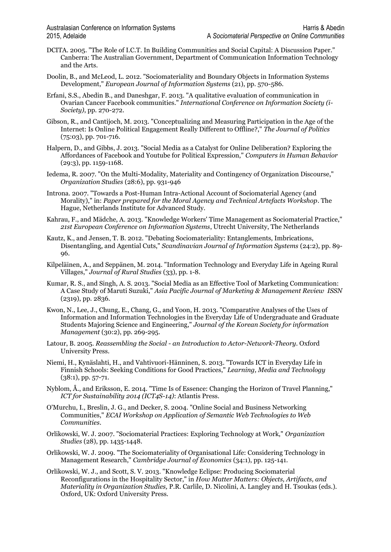- DCITA. 2005. "The Role of I.C.T. In Building Communities and Social Capital: A Discussion Paper." Canberra: The Australian Government, Department of Communication Information Technology and the Arts.
- Doolin, B., and McLeod, L. 2012. "Sociomateriality and Boundary Objects in Information Systems Development," *European Journal of Information Systems* (21), pp. 570-586.
- Erfani, S.S., Abedin B., and Daneshgar, F. 2013. "A qualitative evaluation of communication in Ovarian Cancer Facebook communities." *International Conference on Information Society (i-Society)*, pp. 270-272.
- Gibson, R., and Cantijoch, M. 2013. "Conceptualizing and Measuring Participation in the Age of the Internet: Is Online Political Engagement Really Different to Offline?," *The Journal of Politics* (75:03), pp. 701-716.
- Halpern, D., and Gibbs, J. 2013. "Social Media as a Catalyst for Online Deliberation? Exploring the Affordances of Facebook and Youtube for Political Expression," *Computers in Human Behavior* (29:3), pp. 1159-1168.
- Iedema, R. 2007. "On the Multi-Modality, Materiality and Contingency of Organization Discourse," *Organization Studies* (28:6), pp. 931-946
- Introna. 2007. "Towards a Post-Human Intra-Actional Account of Sociomaterial Agency (and Morality)," in: *Paper prepared for the Moral Agency and Technical Artefacts Workshop*. The Hague, Netherlands Institute for Advanced Study.
- Kahrau, F., and Mädche, A. 2013. "Knowledge Workers' Time Management as Sociomaterial Practice," *21st European Conference on Information Systems*, Utrecht University, The Netherlands
- Kautz, K., and Jensen, T. B. 2012. "Debating Sociomateriality: Entanglements, Imbrications, Disentangling, and Agential Cuts," *Scandinavian Journal of Information Systems* (24:2), pp. 89- 96.
- Kilpeläinen, A., and Seppänen, M. 2014. "Information Technology and Everyday Life in Ageing Rural Villages," *Journal of Rural Studies* (33), pp. 1-8.
- Kumar, R. S., and Singh, A. S. 2013. "Social Media as an Effective Tool of Marketing Communication: A Case Study of Maruti Suzuki," *Asia Pacific Journal of Marketing & Management Review ISSN* (2319), pp. 2836.
- Kwon, N., Lee, J., Chung, E., Chang, G., and Yoon, H. 2013. "Comparative Analyses of the Uses of Information and Information Technologies in the Everyday Life of Undergraduate and Graduate Students Majoring Science and Engineering," *Journal of the Korean Society for information Management* (30:2), pp. 269-295.
- Latour, B. 2005. *Reassembling the Social - an Introduction to Actor-Network-Theory*. Oxford University Press.
- Niemi, H., Kynäslahti, H., and Vahtivuori-Hänninen, S. 2013. "Towards ICT in Everyday Life in Finnish Schools: Seeking Conditions for Good Practices," *Learning, Media and Technology* (38:1), pp. 57-71.
- Nyblom, Å., and Eriksson, E. 2014. "Time Is of Essence: Changing the Horizon of Travel Planning," *ICT for Sustainability 2014 (ICT4S-14)*: Atlantis Press.
- O'Murchu, I., Breslin, J. G., and Decker, S. 2004. "Online Social and Business Networking Communities," *ECAI Workshop on Application of Semantic Web Technologies to Web Communities*.
- Orlikowski, W. J. 2007. "Sociomaterial Practices: Exploring Technology at Work," *Organization Studies* (28), pp. 1435-1448.
- Orlikowski, W. J. 2009. "The Sociomateriality of Organisational Life: Considering Technology in Management Research," *Cambridge Journal of Economics* (34:1), pp. 125-141.
- Orlikowski, W. J., and Scott, S. V. 2013. "Knowledge Eclipse: Producing Sociomaterial Reconfigurations in the Hospitality Sector," in *How Matter Matters: Objects, Artifacts, and Materiality in Organization Studies,* P.R. Carlile, D. Nicolini, A. Langley and H. Tsoukas (eds.). Oxford, UK: Oxford University Press.